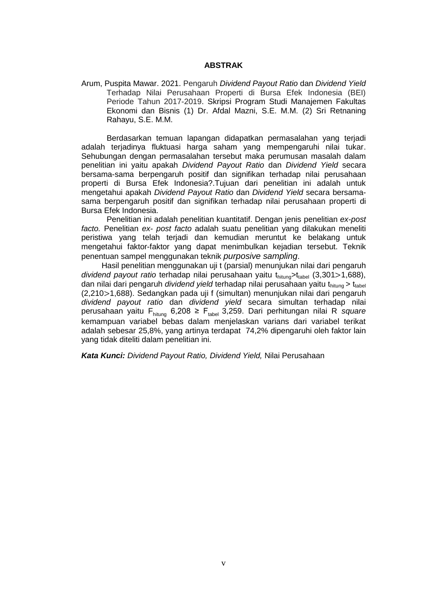## **ABSTRAK**

Arum, Puspita Mawar. 2021. Pengaruh *Dividend Payout Ratio* dan *Dividend Yield* Terhadap Nilai Perusahaan Properti di Bursa Efek Indonesia (BEI) Periode Tahun 2017-2019. Skripsi Program Studi Manajemen Fakultas Ekonomi dan Bisnis (1) Dr. Afdal Mazni, S.E. M.M. (2) Sri Retnaning Rahayu, S.E. M.M.

Berdasarkan temuan lapangan didapatkan permasalahan yang terjadi adalah terjadinya fluktuasi harga saham yang mempengaruhi nilai tukar. Sehubungan dengan permasalahan tersebut maka perumusan masalah dalam penelitian ini yaitu apakah *Dividend Payout Ratio* dan *Dividend Yield* secara bersama-sama berpengaruh positif dan signifikan terhadap nilai perusahaan properti di Bursa Efek Indonesia?.Tujuan dari penelitian ini adalah untuk mengetahui apakah *Dividend Payout Ratio* dan *Dividend Yield* secara bersamasama berpengaruh positif dan signifikan terhadap nilai perusahaan properti di Bursa Efek Indonesia.

Penelitian ini adalah penelitian kuantitatif. Dengan jenis penelitian *ex-post facto.* Penelitian *ex- post facto* adalah suatu penelitian yang dilakukan meneliti peristiwa yang telah terjadi dan kemudian meruntut ke belakang untuk mengetahui faktor-faktor yang dapat menimbulkan kejadian tersebut. Teknik penentuan sampel menggunakan teknik *purposive sampling*.

Hasil penelitian menggunakan uji t (parsial) menunjukan nilai dari pengaruh *dividend payout ratio* terhadap nilai perusahaan yaitu t<sub>hitung</sub>>t<sub>tabel</sub> (3,301>1,688), dan nilai dari pengaruh *dividend yield* terhadap nilai perusahaan yaitu t<sub>hitung</sub> > t<sub>tabel</sub> (2,210 > 1,688). Sedangkan pada uji f (simultan) menunjukan nilai dari pengaruh *dividend payout ratio* dan *dividend yield* secara simultan terhadap nilai perusahaan yaitu F<sub>hitung</sub> 6,208 ≥ F<sub>tabel</sub> 3,259. Dari perhitungan nilai R *square* kemampuan variabel bebas dalam menjelaskan varians dari variabel terikat adalah sebesar 25,8%, yang artinya terdapat 74,2% dipengaruhi oleh faktor lain yang tidak diteliti dalam penelitian ini.

*Kata Kunci: Dividend Payout Ratio, Dividend Yield,* Nilai Perusahaan